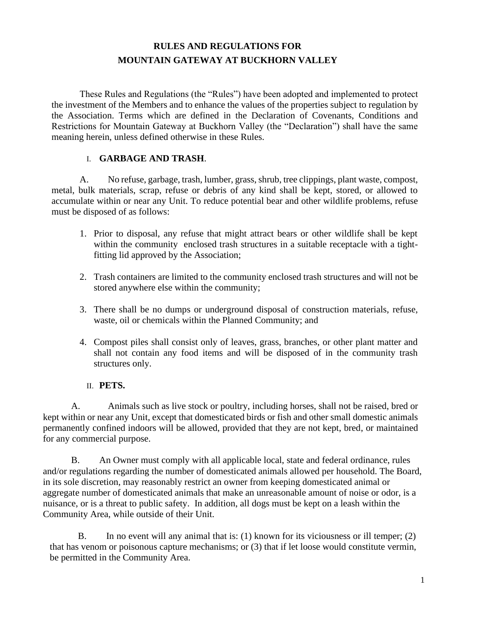# **RULES AND REGULATIONS FOR MOUNTAIN GATEWAY AT BUCKHORN VALLEY**

These Rules and Regulations (the "Rules") have been adopted and implemented to protect the investment of the Members and to enhance the values of the properties subject to regulation by the Association. Terms which are defined in the Declaration of Covenants, Conditions and Restrictions for Mountain Gateway at Buckhorn Valley (the "Declaration") shall have the same meaning herein, unless defined otherwise in these Rules.

#### I. **GARBAGE AND TRASH**.

A. No refuse, garbage, trash, lumber, grass, shrub, tree clippings, plant waste, compost, metal, bulk materials, scrap, refuse or debris of any kind shall be kept, stored, or allowed to accumulate within or near any Unit. To reduce potential bear and other wildlife problems, refuse must be disposed of as follows:

- 1. Prior to disposal, any refuse that might attract bears or other wildlife shall be kept within the community enclosed trash structures in a suitable receptacle with a tightfitting lid approved by the Association;
- 2. Trash containers are limited to the community enclosed trash structures and will not be stored anywhere else within the community;
- 3. There shall be no dumps or underground disposal of construction materials, refuse, waste, oil or chemicals within the Planned Community; and
- 4. Compost piles shall consist only of leaves, grass, branches, or other plant matter and shall not contain any food items and will be disposed of in the community trash structures only.

### II. **PETS.**

A. Animals such as live stock or poultry, including horses, shall not be raised, bred or kept within or near any Unit, except that domesticated birds or fish and other small domestic animals permanently confined indoors will be allowed, provided that they are not kept, bred, or maintained for any commercial purpose.

B. An Owner must comply with all applicable local, state and federal ordinance, rules and/or regulations regarding the number of domesticated animals allowed per household. The Board, in its sole discretion, may reasonably restrict an owner from keeping domesticated animal or aggregate number of domesticated animals that make an unreasonable amount of noise or odor, is a nuisance, or is a threat to public safety. In addition, all dogs must be kept on a leash within the Community Area, while outside of their Unit.

B. In no event will any animal that is: (1) known for its viciousness or ill temper; (2) that has venom or poisonous capture mechanisms; or (3) that if let loose would constitute vermin, be permitted in the Community Area.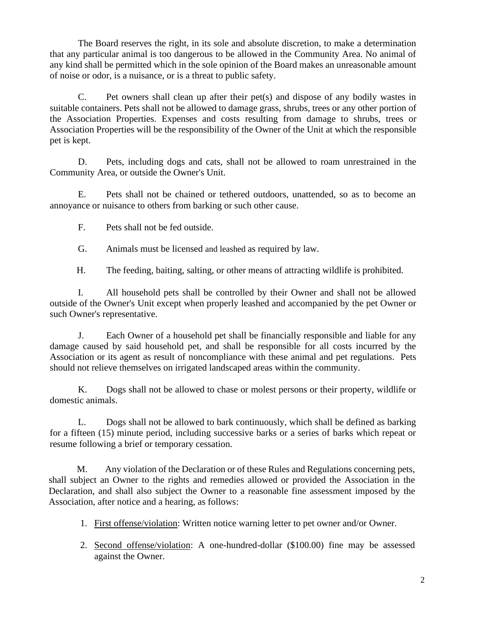The Board reserves the right, in its sole and absolute discretion, to make a determination that any particular animal is too dangerous to be allowed in the Community Area. No animal of any kind shall be permitted which in the sole opinion of the Board makes an unreasonable amount of noise or odor, is a nuisance, or is a threat to public safety.

C. Pet owners shall clean up after their pet(s) and dispose of any bodily wastes in suitable containers. Pets shall not be allowed to damage grass, shrubs, trees or any other portion of the Association Properties. Expenses and costs resulting from damage to shrubs, trees or Association Properties will be the responsibility of the Owner of the Unit at which the responsible pet is kept.

D. Pets, including dogs and cats, shall not be allowed to roam unrestrained in the Community Area, or outside the Owner's Unit.

E. Pets shall not be chained or tethered outdoors, unattended, so as to become an annoyance or nuisance to others from barking or such other cause.

F. Pets shall not be fed outside.

G. Animals must be licensed and leashed as required by law.

H. The feeding, baiting, salting, or other means of attracting wildlife is prohibited.

I. All household pets shall be controlled by their Owner and shall not be allowed outside of the Owner's Unit except when properly leashed and accompanied by the pet Owner or such Owner's representative.

J. Each Owner of a household pet shall be financially responsible and liable for any damage caused by said household pet, and shall be responsible for all costs incurred by the Association or its agent as result of noncompliance with these animal and pet regulations. Pets should not relieve themselves on irrigated landscaped areas within the community.

K. Dogs shall not be allowed to chase or molest persons or their property, wildlife or domestic animals.

L. Dogs shall not be allowed to bark continuously, which shall be defined as barking for a fifteen (15) minute period, including successive barks or a series of barks which repeat or resume following a brief or temporary cessation.

M. Any violation of the Declaration or of these Rules and Regulations concerning pets, shall subject an Owner to the rights and remedies allowed or provided the Association in the Declaration, and shall also subject the Owner to a reasonable fine assessment imposed by the Association, after notice and a hearing, as follows:

- 1. First offense/violation: Written notice warning letter to pet owner and/or Owner.
- 2. Second offense/violation: A one-hundred-dollar (\$100.00) fine may be assessed against the Owner.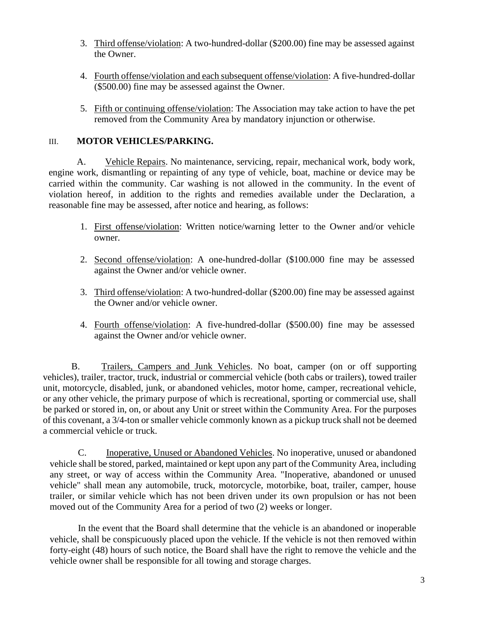- 3. Third offense/violation: A two-hundred-dollar (\$200.00) fine may be assessed against the Owner.
- 4. Fourth offense/violation and each subsequent offense/violation: A five-hundred-dollar (\$500.00) fine may be assessed against the Owner.
- 5. Fifth or continuing offense/violation: The Association may take action to have the pet removed from the Community Area by mandatory injunction or otherwise.

### III. **MOTOR VEHICLES/PARKING.**

A. Vehicle Repairs. No maintenance, servicing, repair, mechanical work, body work, engine work, dismantling or repainting of any type of vehicle, boat, machine or device may be carried within the community. Car washing is not allowed in the community. In the event of violation hereof, in addition to the rights and remedies available under the Declaration, a reasonable fine may be assessed, after notice and hearing, as follows:

- 1. First offense/violation: Written notice/warning letter to the Owner and/or vehicle owner.
- 2. Second offense/violation: A one-hundred-dollar (\$100.000 fine may be assessed against the Owner and/or vehicle owner.
- 3. Third offense/violation: A two-hundred-dollar (\$200.00) fine may be assessed against the Owner and/or vehicle owner.
- 4. Fourth offense/violation: A five-hundred-dollar (\$500.00) fine may be assessed against the Owner and/or vehicle owner.

B. Trailers, Campers and Junk Vehicles. No boat, camper (on or off supporting vehicles), trailer, tractor, truck, industrial or commercial vehicle (both cabs or trailers), towed trailer unit, motorcycle, disabled, junk, or abandoned vehicles, motor home, camper, recreational vehicle, or any other vehicle, the primary purpose of which is recreational, sporting or commercial use, shall be parked or stored in, on, or about any Unit or street within the Community Area. For the purposes of this covenant, a 3/4-ton or smaller vehicle commonly known as a pickup truck shall not be deemed a commercial vehicle or truck.

C. Inoperative, Unused or Abandoned Vehicles. No inoperative, unused or abandoned vehicle shall be stored, parked, maintained or kept upon any part of the Community Area, including any street, or way of access within the Community Area. "Inoperative, abandoned or unused vehicle" shall mean any automobile, truck, motorcycle, motorbike, boat, trailer, camper, house trailer, or similar vehicle which has not been driven under its own propulsion or has not been moved out of the Community Area for a period of two (2) weeks or longer.

In the event that the Board shall determine that the vehicle is an abandoned or inoperable vehicle, shall be conspicuously placed upon the vehicle. If the vehicle is not then removed within forty-eight (48) hours of such notice, the Board shall have the right to remove the vehicle and the vehicle owner shall be responsible for all towing and storage charges.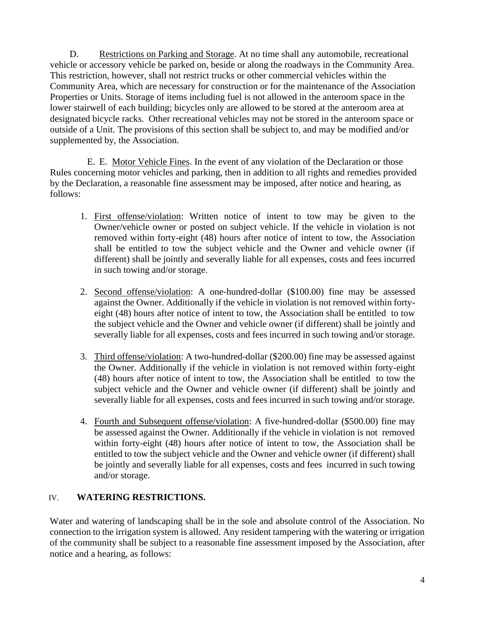D. Restrictions on Parking and Storage. At no time shall any automobile, recreational vehicle or accessory vehicle be parked on, beside or along the roadways in the Community Area. This restriction, however, shall not restrict trucks or other commercial vehicles within the Community Area, which are necessary for construction or for the maintenance of the Association Properties or Units. Storage of items including fuel is not allowed in the anteroom space in the lower stairwell of each building; bicycles only are allowed to be stored at the anteroom area at designated bicycle racks. Other recreational vehicles may not be stored in the anteroom space or outside of a Unit. The provisions of this section shall be subject to, and may be modified and/or supplemented by, the Association.

E. E. Motor Vehicle Fines. In the event of any violation of the Declaration or those Rules concerning motor vehicles and parking, then in addition to all rights and remedies provided by the Declaration, a reasonable fine assessment may be imposed, after notice and hearing, as follows:

- 1. First offense/violation: Written notice of intent to tow may be given to the Owner/vehicle owner or posted on subject vehicle. If the vehicle in violation is not removed within forty-eight (48) hours after notice of intent to tow, the Association shall be entitled to tow the subject vehicle and the Owner and vehicle owner (if different) shall be jointly and severally liable for all expenses, costs and fees incurred in such towing and/or storage.
- 2. Second offense/violation: A one-hundred-dollar (\$100.00) fine may be assessed against the Owner. Additionally if the vehicle in violation is not removed within fortyeight (48) hours after notice of intent to tow, the Association shall be entitled to tow the subject vehicle and the Owner and vehicle owner (if different) shall be jointly and severally liable for all expenses, costs and fees incurred in such towing and/or storage.
- 3. Third offense/violation: A two-hundred-dollar (\$200.00) fine may be assessed against the Owner. Additionally if the vehicle in violation is not removed within forty-eight (48) hours after notice of intent to tow, the Association shall be entitled to tow the subject vehicle and the Owner and vehicle owner (if different) shall be jointly and severally liable for all expenses, costs and fees incurred in such towing and/or storage.
- 4. Fourth and Subsequent offense/violation: A five-hundred-dollar (\$500.00) fine may be assessed against the Owner. Additionally if the vehicle in violation is not removed within forty-eight (48) hours after notice of intent to tow, the Association shall be entitled to tow the subject vehicle and the Owner and vehicle owner (if different) shall be jointly and severally liable for all expenses, costs and fees incurred in such towing and/or storage.

### IV. **WATERING RESTRICTIONS.**

Water and watering of landscaping shall be in the sole and absolute control of the Association. No connection to the irrigation system is allowed. Any resident tampering with the watering or irrigation of the community shall be subject to a reasonable fine assessment imposed by the Association, after notice and a hearing, as follows: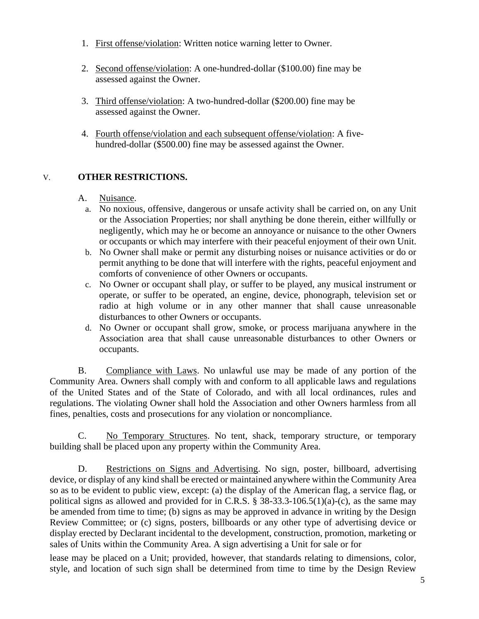- 1. First offense/violation: Written notice warning letter to Owner.
- 2. Second offense/violation: A one-hundred-dollar (\$100.00) fine may be assessed against the Owner.
- 3. Third offense/violation: A two-hundred-dollar (\$200.00) fine may be assessed against the Owner.
- 4. Fourth offense/violation and each subsequent offense/violation: A fivehundred-dollar (\$500.00) fine may be assessed against the Owner.

## V. **OTHER RESTRICTIONS.**

### A. Nuisance.

- a. No noxious, offensive, dangerous or unsafe activity shall be carried on, on any Unit or the Association Properties; nor shall anything be done therein, either willfully or negligently, which may he or become an annoyance or nuisance to the other Owners or occupants or which may interfere with their peaceful enjoyment of their own Unit.
- b. No Owner shall make or permit any disturbing noises or nuisance activities or do or permit anything to be done that will interfere with the rights, peaceful enjoyment and comforts of convenience of other Owners or occupants.
- c. No Owner or occupant shall play, or suffer to be played, any musical instrument or operate, or suffer to be operated, an engine, device, phonograph, television set or radio at high volume or in any other manner that shall cause unreasonable disturbances to other Owners or occupants.
- d. No Owner or occupant shall grow, smoke, or process marijuana anywhere in the Association area that shall cause unreasonable disturbances to other Owners or occupants.

B. Compliance with Laws. No unlawful use may be made of any portion of the Community Area. Owners shall comply with and conform to all applicable laws and regulations of the United States and of the State of Colorado, and with all local ordinances, rules and regulations. The violating Owner shall hold the Association and other Owners harmless from all fines, penalties, costs and prosecutions for any violation or noncompliance.

C. No Temporary Structures. No tent, shack, temporary structure, or temporary building shall be placed upon any property within the Community Area.

D. Restrictions on Signs and Advertising. No sign, poster, billboard, advertising device, or display of any kind shall be erected or maintained anywhere within the Community Area so as to be evident to public view, except: (a) the display of the American flag, a service flag, or political signs as allowed and provided for in C.R.S. § 38-33.3-106.5(1)(a)-(c), as the same may be amended from time to time; (b) signs as may be approved in advance in writing by the Design Review Committee; or (c) signs, posters, billboards or any other type of advertising device or display erected by Declarant incidental to the development, construction, promotion, marketing or sales of Units within the Community Area. A sign advertising a Unit for sale or for

lease may be placed on a Unit; provided, however, that standards relating to dimensions, color, style, and location of such sign shall be determined from time to time by the Design Review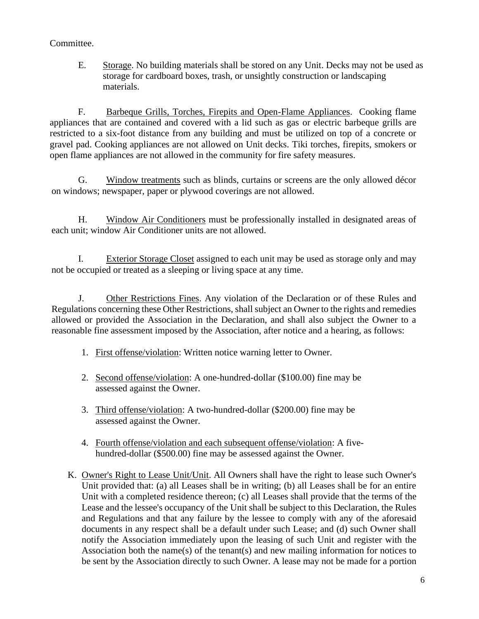### Committee.

E. Storage. No building materials shall be stored on any Unit. Decks may not be used as storage for cardboard boxes, trash, or unsightly construction or landscaping materials.

F. Barbeque Grills, Torches, Firepits and Open-Flame Appliances. Cooking flame appliances that are contained and covered with a lid such as gas or electric barbeque grills are restricted to a six-foot distance from any building and must be utilized on top of a concrete or gravel pad. Cooking appliances are not allowed on Unit decks. Tiki torches, firepits, smokers or open flame appliances are not allowed in the community for fire safety measures.

G. Window treatments such as blinds, curtains or screens are the only allowed décor on windows; newspaper, paper or plywood coverings are not allowed.

H. Window Air Conditioners must be professionally installed in designated areas of each unit; window Air Conditioner units are not allowed.

I. Exterior Storage Closet assigned to each unit may be used as storage only and may not be occupied or treated as a sleeping or living space at any time.

J. Other Restrictions Fines. Any violation of the Declaration or of these Rules and Regulations concerning these Other Restrictions, shall subject an Owner to the rights and remedies allowed or provided the Association in the Declaration, and shall also subject the Owner to a reasonable fine assessment imposed by the Association, after notice and a hearing, as follows:

- 1. First offense/violation: Written notice warning letter to Owner.
- 2. Second offense/violation: A one-hundred-dollar (\$100.00) fine may be assessed against the Owner.
- 3. Third offense/violation: A two-hundred-dollar (\$200.00) fine may be assessed against the Owner.
- 4. Fourth offense/violation and each subsequent offense/violation: A fivehundred-dollar (\$500.00) fine may be assessed against the Owner.
- K. Owner's Right to Lease Unit/Unit. All Owners shall have the right to lease such Owner's Unit provided that: (a) all Leases shall be in writing; (b) all Leases shall be for an entire Unit with a completed residence thereon; (c) all Leases shall provide that the terms of the Lease and the lessee's occupancy of the Unit shall be subject to this Declaration, the Rules and Regulations and that any failure by the lessee to comply with any of the aforesaid documents in any respect shall be a default under such Lease; and (d) such Owner shall notify the Association immediately upon the leasing of such Unit and register with the Association both the name(s) of the tenant(s) and new mailing information for notices to be sent by the Association directly to such Owner. A lease may not be made for a portion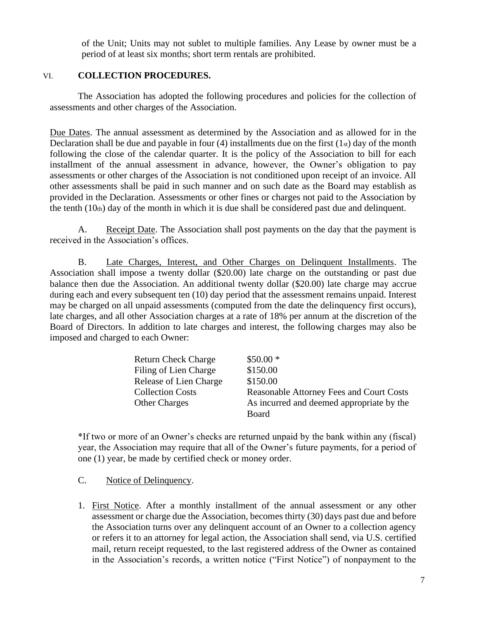of the Unit; Units may not sublet to multiple families. Any Lease by owner must be a period of at least six months; short term rentals are prohibited.

### VI. **COLLECTION PROCEDURES.**

The Association has adopted the following procedures and policies for the collection of assessments and other charges of the Association.

Due Dates. The annual assessment as determined by the Association and as allowed for in the Declaration shall be due and payable in four  $(4)$  installments due on the first  $(1<sub>st</sub>)$  day of the month following the close of the calendar quarter. It is the policy of the Association to bill for each installment of the annual assessment in advance, however, the Owner's obligation to pay assessments or other charges of the Association is not conditioned upon receipt of an invoice. All other assessments shall be paid in such manner and on such date as the Board may establish as provided in the Declaration. Assessments or other fines or charges not paid to the Association by the tenth  $(10<sub>th</sub>)$  day of the month in which it is due shall be considered past due and delinquent.

A. Receipt Date. The Association shall post payments on the day that the payment is received in the Association's offices.

B. Late Charges, Interest, and Other Charges on Delinquent Installments. The Association shall impose a twenty dollar (\$20.00) late charge on the outstanding or past due balance then due the Association. An additional twenty dollar (\$20.00) late charge may accrue during each and every subsequent ten (10) day period that the assessment remains unpaid. Interest may be charged on all unpaid assessments (computed from the date the delinquency first occurs), late charges, and all other Association charges at a rate of 18% per annum at the discretion of the Board of Directors. In addition to late charges and interest, the following charges may also be imposed and charged to each Owner:

| <b>Return Check Charge</b> | $$50.00*$                                       |
|----------------------------|-------------------------------------------------|
| Filing of Lien Charge      | \$150.00                                        |
| Release of Lien Charge     | \$150.00                                        |
| <b>Collection Costs</b>    | <b>Reasonable Attorney Fees and Court Costs</b> |
| <b>Other Charges</b>       | As incurred and deemed appropriate by the       |
|                            | Board                                           |

\*If two or more of an Owner's checks are returned unpaid by the bank within any (fiscal) year, the Association may require that all of the Owner's future payments, for a period of one (1) year, be made by certified check or money order.

C. Notice of Delinquency.

1. First Notice. After a monthly installment of the annual assessment or any other assessment or charge due the Association, becomes thirty (30) days past due and before the Association turns over any delinquent account of an Owner to a collection agency or refers it to an attorney for legal action, the Association shall send, via U.S. certified mail, return receipt requested, to the last registered address of the Owner as contained in the Association's records, a written notice ("First Notice") of nonpayment to the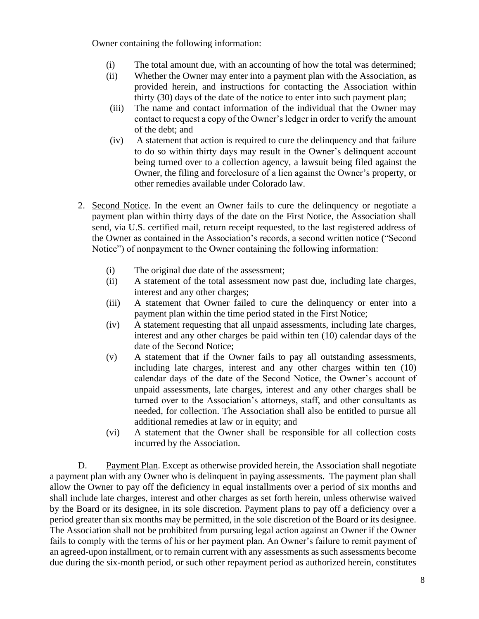Owner containing the following information:

- (i) The total amount due, with an accounting of how the total was determined;
- (ii) Whether the Owner may enter into a payment plan with the Association, as provided herein, and instructions for contacting the Association within thirty (30) days of the date of the notice to enter into such payment plan;
- (iii) The name and contact information of the individual that the Owner may contact to request a copy of the Owner's ledger in order to verify the amount of the debt; and
- (iv) A statement that action is required to cure the delinquency and that failure to do so within thirty days may result in the Owner's delinquent account being turned over to a collection agency, a lawsuit being filed against the Owner, the filing and foreclosure of a lien against the Owner's property, or other remedies available under Colorado law.
- 2. Second Notice. In the event an Owner fails to cure the delinquency or negotiate a payment plan within thirty days of the date on the First Notice, the Association shall send, via U.S. certified mail, return receipt requested, to the last registered address of the Owner as contained in the Association's records, a second written notice ("Second Notice") of nonpayment to the Owner containing the following information:
	- (i) The original due date of the assessment;
	- (ii) A statement of the total assessment now past due, including late charges, interest and any other charges;
	- (iii) A statement that Owner failed to cure the delinquency or enter into a payment plan within the time period stated in the First Notice;
	- (iv) A statement requesting that all unpaid assessments, including late charges, interest and any other charges be paid within ten (10) calendar days of the date of the Second Notice;
	- (v) A statement that if the Owner fails to pay all outstanding assessments, including late charges, interest and any other charges within ten (10) calendar days of the date of the Second Notice, the Owner's account of unpaid assessments, late charges, interest and any other charges shall be turned over to the Association's attorneys, staff, and other consultants as needed, for collection. The Association shall also be entitled to pursue all additional remedies at law or in equity; and
	- (vi) A statement that the Owner shall be responsible for all collection costs incurred by the Association.

D. Payment Plan. Except as otherwise provided herein, the Association shall negotiate a payment plan with any Owner who is delinquent in paying assessments. The payment plan shall allow the Owner to pay off the deficiency in equal installments over a period of six months and shall include late charges, interest and other charges as set forth herein, unless otherwise waived by the Board or its designee, in its sole discretion. Payment plans to pay off a deficiency over a period greater than six months may be permitted, in the sole discretion of the Board or its designee. The Association shall not be prohibited from pursuing legal action against an Owner if the Owner fails to comply with the terms of his or her payment plan. An Owner's failure to remit payment of an agreed-upon installment, or to remain current with any assessments as such assessments become due during the six-month period, or such other repayment period as authorized herein, constitutes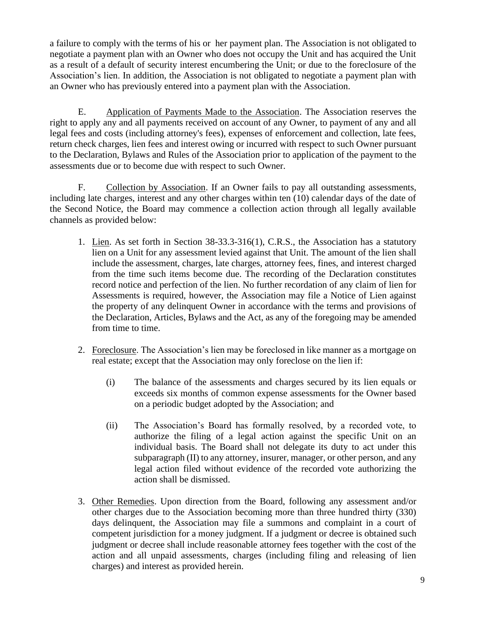a failure to comply with the terms of his or her payment plan. The Association is not obligated to negotiate a payment plan with an Owner who does not occupy the Unit and has acquired the Unit as a result of a default of security interest encumbering the Unit; or due to the foreclosure of the Association's lien. In addition, the Association is not obligated to negotiate a payment plan with an Owner who has previously entered into a payment plan with the Association.

E. Application of Payments Made to the Association. The Association reserves the right to apply any and all payments received on account of any Owner, to payment of any and all legal fees and costs (including attorney's fees), expenses of enforcement and collection, late fees, return check charges, lien fees and interest owing or incurred with respect to such Owner pursuant to the Declaration, Bylaws and Rules of the Association prior to application of the payment to the assessments due or to become due with respect to such Owner.

F. Collection by Association. If an Owner fails to pay all outstanding assessments, including late charges, interest and any other charges within ten (10) calendar days of the date of the Second Notice, the Board may commence a collection action through all legally available channels as provided below:

- 1. Lien. As set forth in Section 38-33.3-316(1), C.R.S., the Association has a statutory lien on a Unit for any assessment levied against that Unit. The amount of the lien shall include the assessment, charges, late charges, attorney fees, fines, and interest charged from the time such items become due. The recording of the Declaration constitutes record notice and perfection of the lien. No further recordation of any claim of lien for Assessments is required, however, the Association may file a Notice of Lien against the property of any delinquent Owner in accordance with the terms and provisions of the Declaration, Articles, Bylaws and the Act, as any of the foregoing may be amended from time to time.
- 2. Foreclosure. The Association's lien may be foreclosed in like manner as a mortgage on real estate; except that the Association may only foreclose on the lien if:
	- (i) The balance of the assessments and charges secured by its lien equals or exceeds six months of common expense assessments for the Owner based on a periodic budget adopted by the Association; and
	- (ii) The Association's Board has formally resolved, by a recorded vote, to authorize the filing of a legal action against the specific Unit on an individual basis. The Board shall not delegate its duty to act under this subparagraph (II) to any attorney, insurer, manager, or other person, and any legal action filed without evidence of the recorded vote authorizing the action shall be dismissed.
- 3. Other Remedies. Upon direction from the Board, following any assessment and/or other charges due to the Association becoming more than three hundred thirty (330) days delinquent, the Association may file a summons and complaint in a court of competent jurisdiction for a money judgment. If a judgment or decree is obtained such judgment or decree shall include reasonable attorney fees together with the cost of the action and all unpaid assessments, charges (including filing and releasing of lien charges) and interest as provided herein.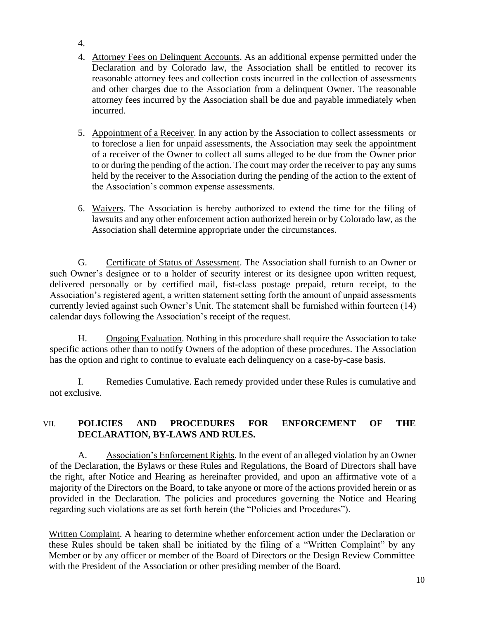- 4.
- 4. Attorney Fees on Delinquent Accounts. As an additional expense permitted under the Declaration and by Colorado law, the Association shall be entitled to recover its reasonable attorney fees and collection costs incurred in the collection of assessments and other charges due to the Association from a delinquent Owner. The reasonable attorney fees incurred by the Association shall be due and payable immediately when incurred.
- 5. Appointment of a Receiver. In any action by the Association to collect assessments or to foreclose a lien for unpaid assessments, the Association may seek the appointment of a receiver of the Owner to collect all sums alleged to be due from the Owner prior to or during the pending of the action. The court may order the receiver to pay any sums held by the receiver to the Association during the pending of the action to the extent of the Association's common expense assessments.
- 6. Waivers. The Association is hereby authorized to extend the time for the filing of lawsuits and any other enforcement action authorized herein or by Colorado law, as the Association shall determine appropriate under the circumstances.

G. Certificate of Status of Assessment. The Association shall furnish to an Owner or such Owner's designee or to a holder of security interest or its designee upon written request, delivered personally or by certified mail, fist-class postage prepaid, return receipt, to the Association's registered agent, a written statement setting forth the amount of unpaid assessments currently levied against such Owner's Unit. The statement shall be furnished within fourteen (14) calendar days following the Association's receipt of the request.

H. Ongoing Evaluation. Nothing in this procedure shall require the Association to take specific actions other than to notify Owners of the adoption of these procedures. The Association has the option and right to continue to evaluate each delinquency on a case-by-case basis.

I. Remedies Cumulative. Each remedy provided under these Rules is cumulative and not exclusive.

### VII. **POLICIES AND PROCEDURES FOR ENFORCEMENT OF THE DECLARATION, BY-LAWS AND RULES.**

A. Association's Enforcement Rights. In the event of an alleged violation by an Owner of the Declaration, the Bylaws or these Rules and Regulations, the Board of Directors shall have the right, after Notice and Hearing as hereinafter provided, and upon an affirmative vote of a majority of the Directors on the Board, to take anyone or more of the actions provided herein or as provided in the Declaration. The policies and procedures governing the Notice and Hearing regarding such violations are as set forth herein (the "Policies and Procedures").

Written Complaint. A hearing to determine whether enforcement action under the Declaration or these Rules should be taken shall be initiated by the filing of a "Written Complaint" by any Member or by any officer or member of the Board of Directors or the Design Review Committee with the President of the Association or other presiding member of the Board.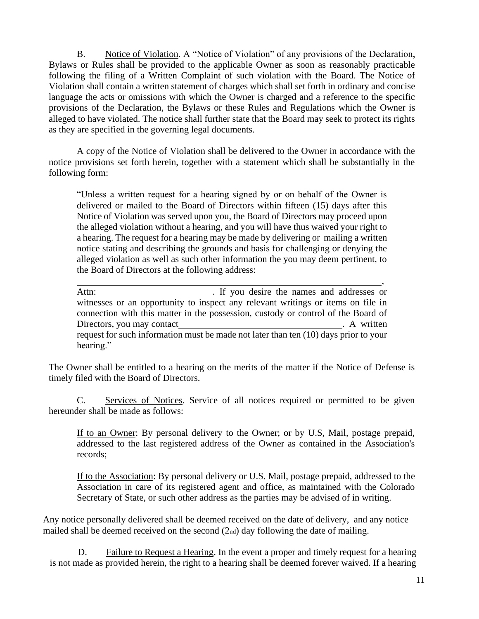B. Notice of Violation. A "Notice of Violation" of any provisions of the Declaration, Bylaws or Rules shall be provided to the applicable Owner as soon as reasonably practicable following the filing of a Written Complaint of such violation with the Board. The Notice of Violation shall contain a written statement of charges which shall set forth in ordinary and concise language the acts or omissions with which the Owner is charged and a reference to the specific provisions of the Declaration, the Bylaws or these Rules and Regulations which the Owner is alleged to have violated. The notice shall further state that the Board may seek to protect its rights as they are specified in the governing legal documents.

A copy of the Notice of Violation shall be delivered to the Owner in accordance with the notice provisions set forth herein, together with a statement which shall be substantially in the following form:

"Unless a written request for a hearing signed by or on behalf of the Owner is delivered or mailed to the Board of Directors within fifteen (15) days after this Notice of Violation was served upon you, the Board of Directors may proceed upon the alleged violation without a hearing, and you will have thus waived your right to a hearing. The request for a hearing may be made by delivering or mailing a written notice stating and describing the grounds and basis for challenging or denying the alleged violation as well as such other information the you may deem pertinent, to the Board of Directors at the following address:

Attn: . If you desire the names and addresses or witnesses or an opportunity to inspect any relevant writings or items on file in connection with this matter in the possession, custody or control of the Board of Directors, you may contact . A written request for such information must be made not later than ten (10) days prior to your hearing."

The Owner shall be entitled to a hearing on the merits of the matter if the Notice of Defense is timely filed with the Board of Directors.

C. Services of Notices. Service of all notices required or permitted to be given hereunder shall be made as follows:

If to an Owner: By personal delivery to the Owner; or by U.S, Mail, postage prepaid, addressed to the last registered address of the Owner as contained in the Association's records;

If to the Association: By personal delivery or U.S. Mail, postage prepaid, addressed to the Association in care of its registered agent and office, as maintained with the Colorado Secretary of State, or such other address as the parties may be advised of in writing.

Any notice personally delivered shall be deemed received on the date of delivery, and any notice mailed shall be deemed received on the second (2nd) day following the date of mailing.

D. Failure to Request a Hearing. In the event a proper and timely request for a hearing is not made as provided herein, the right to a hearing shall be deemed forever waived. If a hearing

,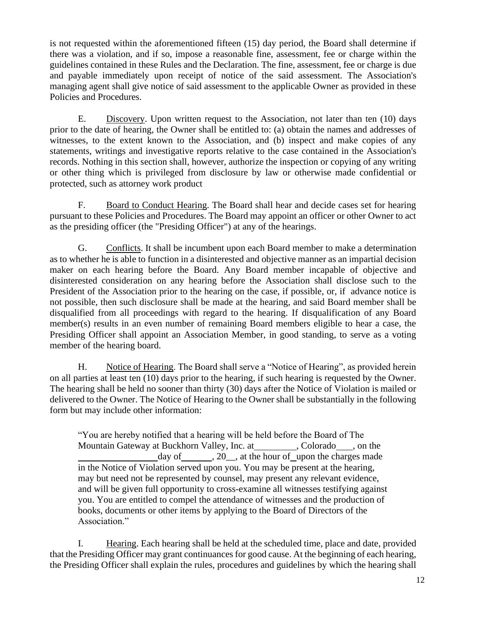is not requested within the aforementioned fifteen (15) day period, the Board shall determine if there was a violation, and if so, impose a reasonable fine, assessment, fee or charge within the guidelines contained in these Rules and the Declaration. The fine, assessment, fee or charge is due and payable immediately upon receipt of notice of the said assessment. The Association's managing agent shall give notice of said assessment to the applicable Owner as provided in these Policies and Procedures.

E. Discovery. Upon written request to the Association, not later than ten (10) days prior to the date of hearing, the Owner shall be entitled to: (a) obtain the names and addresses of witnesses, to the extent known to the Association, and (b) inspect and make copies of any statements, writings and investigative reports relative to the case contained in the Association's records. Nothing in this section shall, however, authorize the inspection or copying of any writing or other thing which is privileged from disclosure by law or otherwise made confidential or protected, such as attorney work product

F. Board to Conduct Hearing. The Board shall hear and decide cases set for hearing pursuant to these Policies and Procedures. The Board may appoint an officer or other Owner to act as the presiding officer (the "Presiding Officer") at any of the hearings.

G. Conflicts. It shall be incumbent upon each Board member to make a determination as to whether he is able to function in a disinterested and objective manner as an impartial decision maker on each hearing before the Board. Any Board member incapable of objective and disinterested consideration on any hearing before the Association shall disclose such to the President of the Association prior to the hearing on the case, if possible, or, if advance notice is not possible, then such disclosure shall be made at the hearing, and said Board member shall be disqualified from all proceedings with regard to the hearing. If disqualification of any Board member(s) results in an even number of remaining Board members eligible to hear a case, the Presiding Officer shall appoint an Association Member, in good standing, to serve as a voting member of the hearing board.

H. Notice of Hearing. The Board shall serve a "Notice of Hearing", as provided herein on all parties at least ten (10) days prior to the hearing, if such hearing is requested by the Owner. The hearing shall be held no sooner than thirty (30) days after the Notice of Violation is mailed or delivered to the Owner. The Notice of Hearing to the Owner shall be substantially in the following form but may include other information:

"You are hereby notified that a hearing will be held before the Board of The Mountain Gateway at Buckhorn Valley, Inc. at , Colorado , on the day of  $\,$ , 20, at the hour of upon the charges made in the Notice of Violation served upon you. You may be present at the hearing, may but need not be represented by counsel, may present any relevant evidence, and will be given full opportunity to cross-examine all witnesses testifying against you. You are entitled to compel the attendance of witnesses and the production of books, documents or other items by applying to the Board of Directors of the Association."

I. Hearing. Each hearing shall be held at the scheduled time, place and date, provided that the Presiding Officer may grant continuances for good cause. At the beginning of each hearing, the Presiding Officer shall explain the rules, procedures and guidelines by which the hearing shall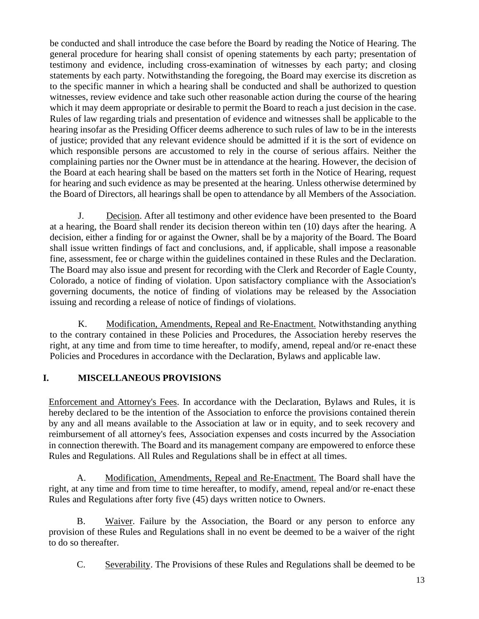be conducted and shall introduce the case before the Board by reading the Notice of Hearing. The general procedure for hearing shall consist of opening statements by each party; presentation of testimony and evidence, including cross-examination of witnesses by each party; and closing statements by each party. Notwithstanding the foregoing, the Board may exercise its discretion as to the specific manner in which a hearing shall be conducted and shall be authorized to question witnesses, review evidence and take such other reasonable action during the course of the hearing which it may deem appropriate or desirable to permit the Board to reach a just decision in the case. Rules of law regarding trials and presentation of evidence and witnesses shall be applicable to the hearing insofar as the Presiding Officer deems adherence to such rules of law to be in the interests of justice; provided that any relevant evidence should be admitted if it is the sort of evidence on which responsible persons are accustomed to rely in the course of serious affairs. Neither the complaining parties nor the Owner must be in attendance at the hearing. However, the decision of the Board at each hearing shall be based on the matters set forth in the Notice of Hearing, request for hearing and such evidence as may be presented at the hearing. Unless otherwise determined by the Board of Directors, all hearings shall be open to attendance by all Members of the Association.

J. Decision. After all testimony and other evidence have been presented to the Board at a hearing, the Board shall render its decision thereon within ten (10) days after the hearing. A decision, either a finding for or against the Owner, shall be by a majority of the Board. The Board shall issue written findings of fact and conclusions, and, if applicable, shall impose a reasonable fine, assessment, fee or charge within the guidelines contained in these Rules and the Declaration. The Board may also issue and present for recording with the Clerk and Recorder of Eagle County, Colorado, a notice of finding of violation. Upon satisfactory compliance with the Association's governing documents, the notice of finding of violations may be released by the Association issuing and recording a release of notice of findings of violations.

K. Modification, Amendments, Repeal and Re-Enactment. Notwithstanding anything to the contrary contained in these Policies and Procedures, the Association hereby reserves the right, at any time and from time to time hereafter, to modify, amend, repeal and/or re-enact these Policies and Procedures in accordance with the Declaration, Bylaws and applicable law.

### **I. MISCELLANEOUS PROVISIONS**

Enforcement and Attorney's Fees. In accordance with the Declaration, Bylaws and Rules, it is hereby declared to be the intention of the Association to enforce the provisions contained therein by any and all means available to the Association at law or in equity, and to seek recovery and reimbursement of all attorney's fees, Association expenses and costs incurred by the Association in connection therewith. The Board and its management company are empowered to enforce these Rules and Regulations. All Rules and Regulations shall be in effect at all times.

A. Modification, Amendments, Repeal and Re-Enactment. The Board shall have the right, at any time and from time to time hereafter, to modify, amend, repeal and/or re-enact these Rules and Regulations after forty five (45) days written notice to Owners.

B. Waiver. Failure by the Association, the Board or any person to enforce any provision of these Rules and Regulations shall in no event be deemed to be a waiver of the right to do so thereafter.

C. Severability. The Provisions of these Rules and Regulations shall be deemed to be